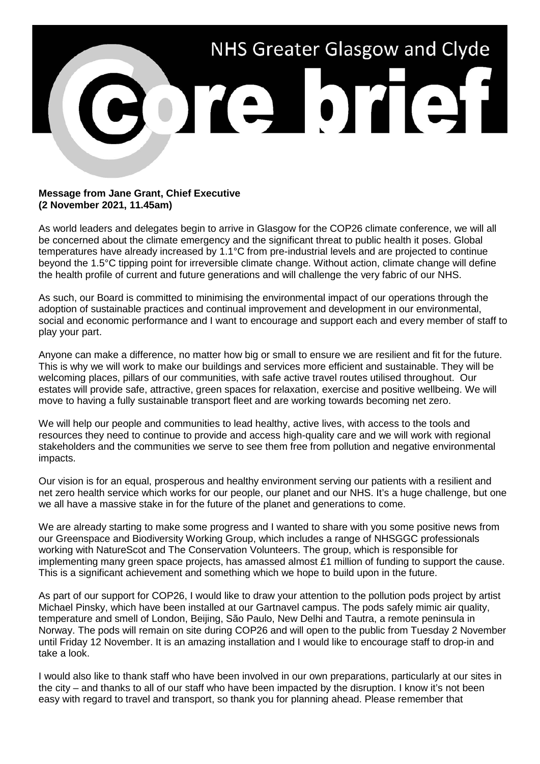

## **Message from Jane Grant, Chief Executive (2 November 2021, 11.45am)**

As world leaders and delegates begin to arrive in Glasgow for the COP26 climate conference, we will all be concerned about the climate emergency and the significant threat to public health it poses. Global temperatures have already increased by 1.1°C from pre-industrial levels and are projected to continue beyond the 1.5°C tipping point for irreversible climate change. Without action, climate change will define the health profile of current and future generations and will challenge the very fabric of our NHS.

As such, our Board is committed to minimising the environmental impact of our operations through the adoption of sustainable practices and continual improvement and development in our environmental, social and economic performance and I want to encourage and support each and every member of staff to play your part.

Anyone can make a difference, no matter how big or small to ensure we are resilient and fit for the future. This is why we will work to make our buildings and services more efficient and sustainable. They will be welcoming places, pillars of our communities, with safe active travel routes utilised throughout. Our estates will provide safe, attractive, green spaces for relaxation, exercise and positive wellbeing. We will move to having a fully sustainable transport fleet and are working towards becoming net zero.

We will help our people and communities to lead healthy, active lives, with access to the tools and resources they need to continue to provide and access high-quality care and we will work with regional stakeholders and the communities we serve to see them free from pollution and negative environmental impacts.

Our vision is for an equal, prosperous and healthy environment serving our patients with a resilient and net zero health service which works for our people, our planet and our NHS. It's a huge challenge, but one we all have a massive stake in for the future of the planet and generations to come.

We are already starting to make some progress and I wanted to share with you some positive news from our Greenspace and Biodiversity Working Group, which includes a range of NHSGGC professionals working with NatureScot and The Conservation Volunteers. The group, which is responsible for implementing many green space projects, has amassed almost £1 million of funding to support the cause. This is a significant achievement and something which we hope to build upon in the future.

As part of our support for COP26, I would like to draw your attention to the pollution pods project by artist Michael Pinsky, which have been installed at our Gartnavel campus. The pods safely mimic air quality, temperature and smell of London, Beijing, São Paulo, New Delhi and Tautra, a remote peninsula in Norway. The pods will remain on site during COP26 and will open to the public from Tuesday 2 November until Friday 12 November. It is an amazing installation and I would like to encourage staff to drop-in and take a look.

I would also like to thank staff who have been involved in our own preparations, particularly at our sites in the city – and thanks to all of our staff who have been impacted by the disruption. I know it's not been easy with regard to travel and transport, so thank you for planning ahead. Please remember that